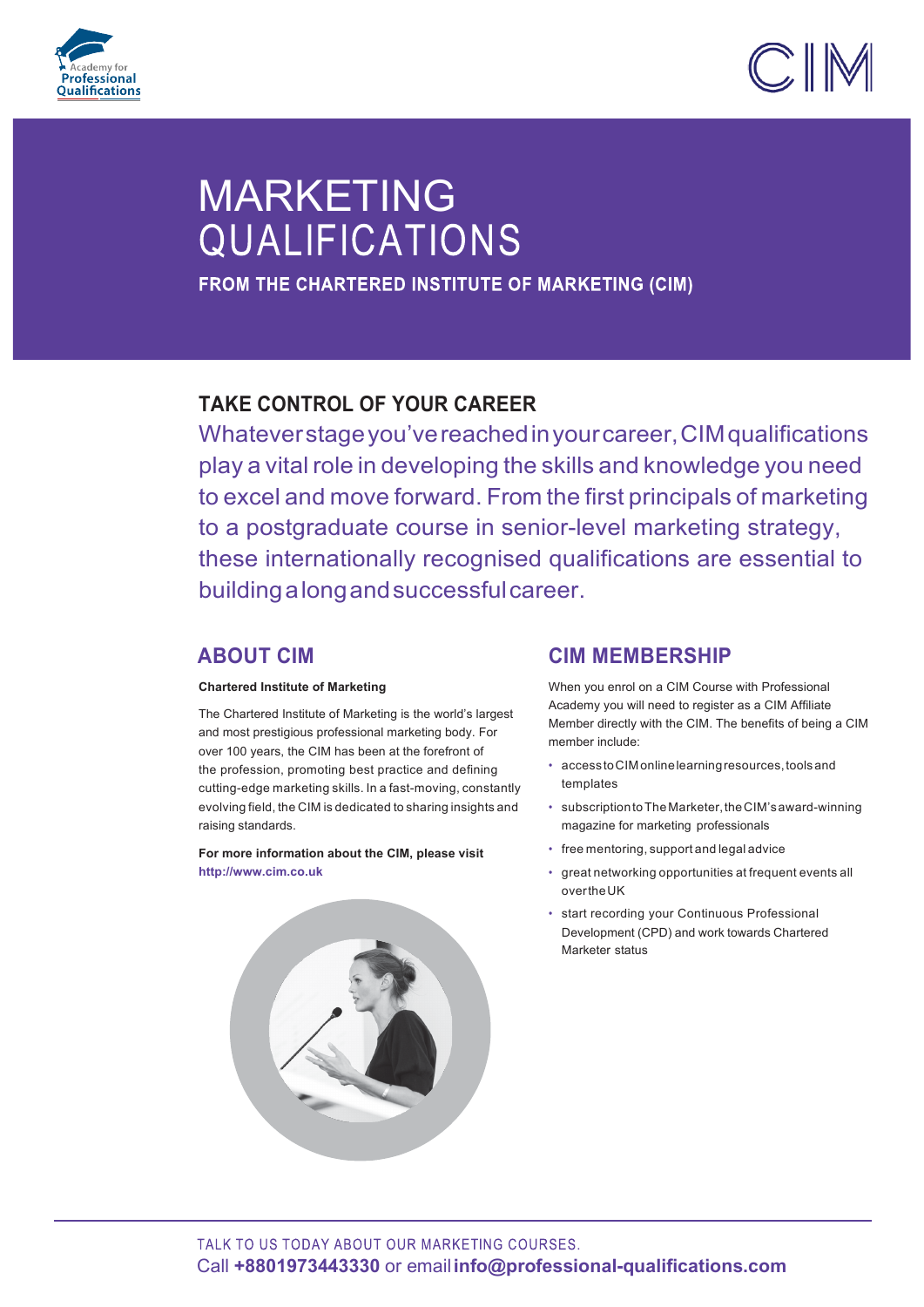



# MARKETING<br>QUALIFICATIONS

FROM THE CHARTERED INSTITUTE OF MARKETING (CIM)

## **TAKE CONTROL OF YOUR CAREER**

Whateverstageyou'vereachedinyourcareer,CIMqualifications play a vital role in developing the skills and knowledge you need to excel and move forward. From the first principals of marketing to a postgraduate course in senior-level marketing strategy, these internationally recognised qualifications are essential to buildingalongandsuccessfulcareer.

### **ABOUT CIM**

### **Chartered Institute of Marketing**

The Chartered Institute of Marketing is the world's largest and most prestigious professional marketing body. For over 100 years, the CIM has been at the forefront of the profession, promoting best practice and defining cutting-edge marketing skills. In a fast-moving, constantly evolving field, the CIM is dedicated to sharing insights and raising standards.

**For more information about the CIM, please visit http://www.cim.co.uk**



### **CIM MEMBERSHIP**

When you enrol on a CIM Course with Professional Academy you will need to register as a CIM Affiliate Member directly with the CIM. The benefits of being a CIM member include:

- accesstoCIM onlinelearningresources,toolsand templates
- subscriptiontoTheMarketer,theCIM'saward-winning magazine for marketing professionals
- free mentoring, support and legal advice
- great networking opportunities at frequent events all overtheUK
- start recording your Continuous Professional Development (CPD) and work towards Chartered Marketer status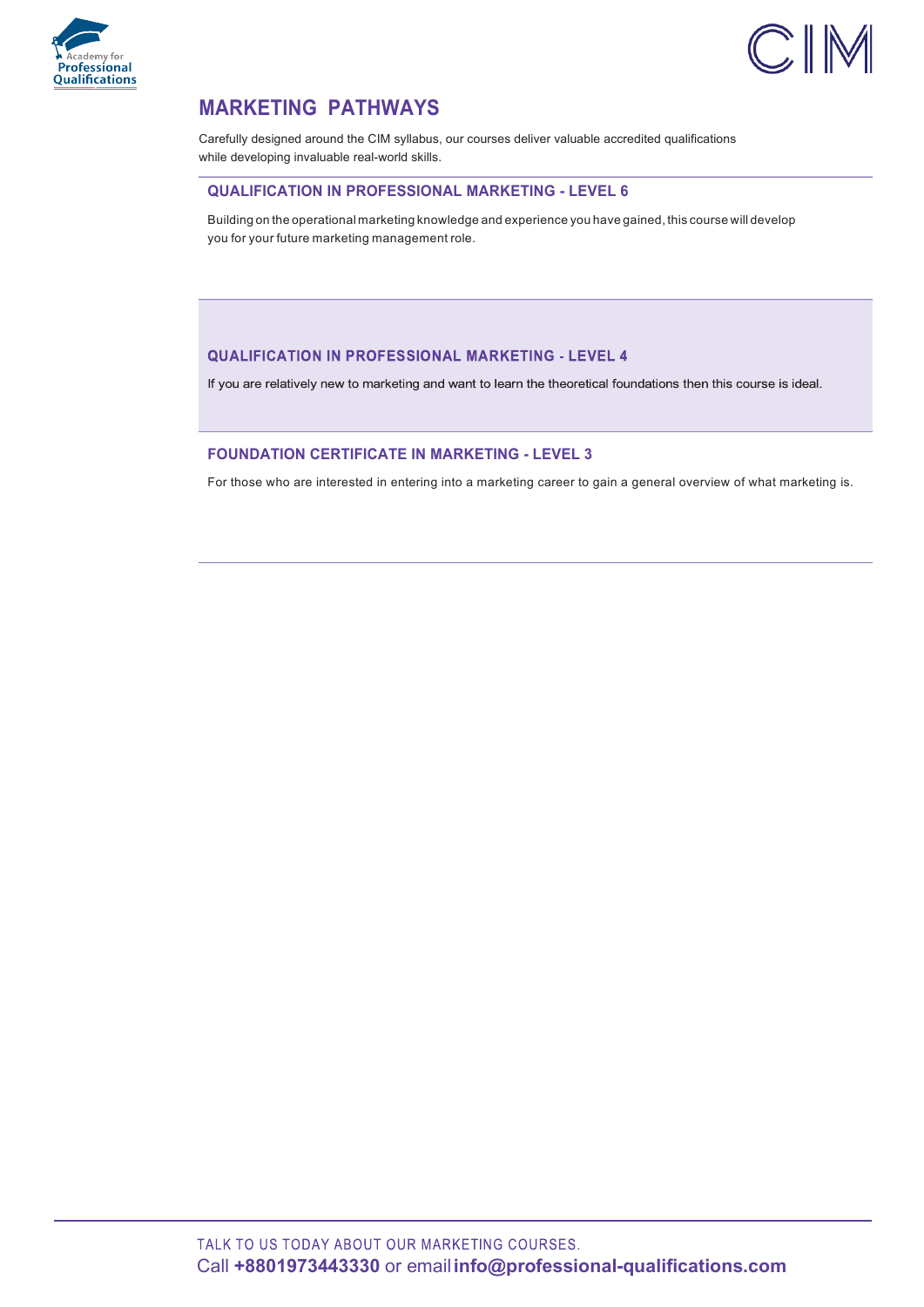



### **MARKETING PATHWAYS**

Carefully designed around the CIM syllabus, our courses deliver valuable accredited qualifications while developing invaluable real-world skills.

### **QUALIFICATION IN PROFESSIONAL MARKETING - LEVEL 6**

Building on the operational marketing knowledge and experience you have gained, this course will develop you for your future marketing management role.

### **QUALIFICATION IN PROFESSIONAL MARKETING - LEVEL 4**

If you are relatively new to marketing and want to learn the theoretical foundations then this course is ideal.

### **FOUNDATION CERTIFICATE IN MARKETING - LEVEL 3**

For those who are interested in entering into a marketing career to gain a general overview of what marketing is.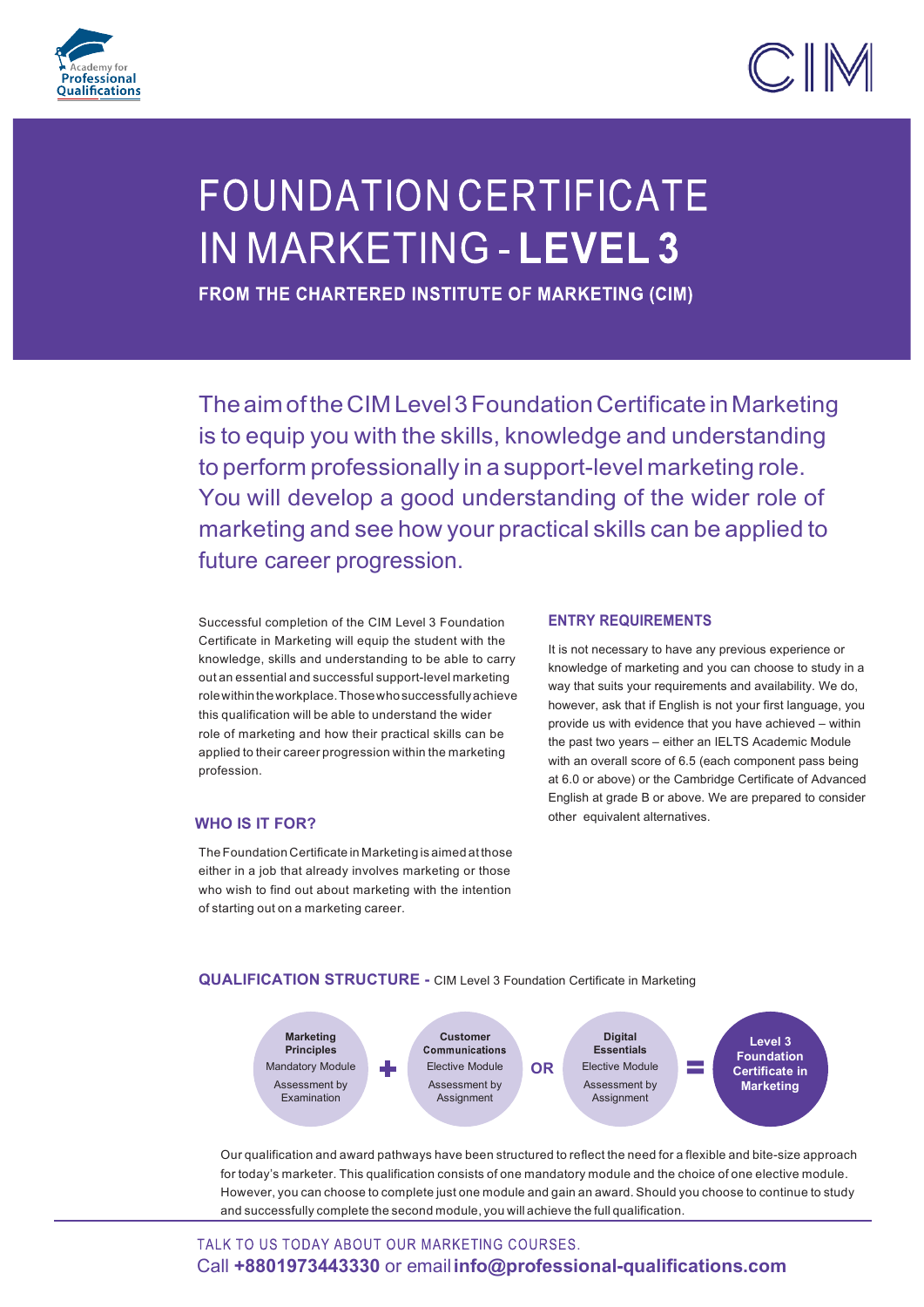



# **FOUNDATION CERTIFICATE** IN MARKETING - LEVEL 3

FROM THE CHARTERED INSTITUTE OF MARKETING (CIM)

The aim of the CIM Level 3 Foundation Certificate in Marketing is to equip you with the skills, knowledge and understanding to perform professionally in a support-level marketing role. You will develop a good understanding of the wider role of marketing and see how your practical skills can be applied to future career progression.

Successful completion of the CIM Level 3 Foundation Certificate in Marketing will equip the student with the knowledge, skills and understanding to be able to carry out an essential and successful support-level marketing rolewithintheworkplace.Thosewhosuccessfullyachieve this qualification will be able to understand the wider role of marketing and how their practical skills can be applied to their career progression within the marketing profession.

### **WHO IS IT FOR?**

The Foundation Certificate in Marketing is aimed at those either in a job that already involves marketing or those who wish to find out about marketing with the intention of starting out on a marketing career.

### **ENTRY REQUIREMENTS**

It is not necessary to have any previous experience or knowledge of marketing and you can choose to study in a way that suits your requirements and availability. We do, however, ask that if English is not your first language, you provide us with evidence that you have achieved – within the past two years – either an IELTS Academic Module with an overall score of 6.5 (each component pass being at 6.0 or above) or the Cambridge Certificate of Advanced English at grade B or above. We are prepared to consider other equivalent alternatives.

### **QUALIFICATION STRUCTURE - CIM Level 3 Foundation Certificate in Marketing**



Our qualification and award pathways have been structured to reflect the need for a flexible and bite-size approach for today's marketer. This qualification consists of one mandatory module and the choice of one elective module. However, you can choose to complete just one module and gain an award. Should you choose to continue to study and successfully complete the second module, you will achieve the full qualification.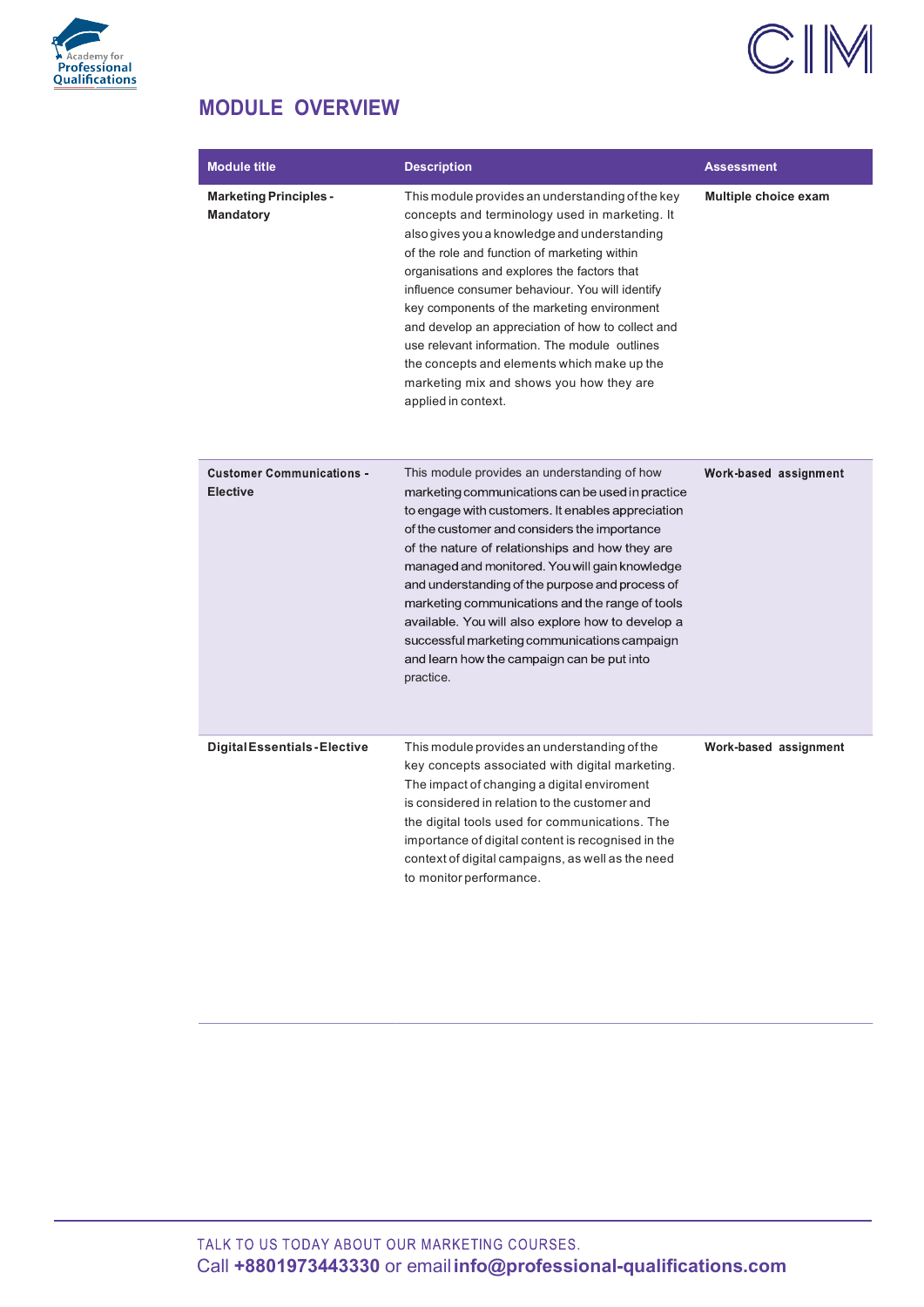

# $CIM$

# **MODULE OVERVIEW**

| <b>Module title</b>                                 | <b>Description</b>                                                                                                                                                                                                                                                                                                                                                                                                                                                                                                                                                               | Assessment            |
|-----------------------------------------------------|----------------------------------------------------------------------------------------------------------------------------------------------------------------------------------------------------------------------------------------------------------------------------------------------------------------------------------------------------------------------------------------------------------------------------------------------------------------------------------------------------------------------------------------------------------------------------------|-----------------------|
| <b>Marketing Principles -</b><br><b>Mandatory</b>   | This module provides an understanding of the key<br>concepts and terminology used in marketing. It<br>also gives you a knowledge and understanding<br>of the role and function of marketing within<br>organisations and explores the factors that<br>influence consumer behaviour. You will identify<br>key components of the marketing environment<br>and develop an appreciation of how to collect and<br>use relevant information. The module outlines<br>the concepts and elements which make up the<br>marketing mix and shows you how they are<br>applied in context.      | Multiple choice exam  |
| <b>Customer Communications -</b><br><b>Elective</b> | This module provides an understanding of how<br>marketing communications can be used in practice<br>to engage with customers. It enables appreciation<br>of the customer and considers the importance<br>of the nature of relationships and how they are<br>managed and monitored. You will gain knowledge<br>and understanding of the purpose and process of<br>marketing communications and the range of tools<br>available. You will also explore how to develop a<br>successful marketing communications campaign<br>and learn how the campaign can be put into<br>practice. | Work-based assignment |
| <b>Digital Essentials-Elective</b>                  | This module provides an understanding of the<br>key concepts associated with digital marketing.<br>The impact of changing a digital enviroment<br>is considered in relation to the customer and<br>the digital tools used for communications. The<br>importance of digital content is recognised in the<br>context of digital campaigns, as well as the need<br>to monitor performance.                                                                                                                                                                                          | Work-based assignment |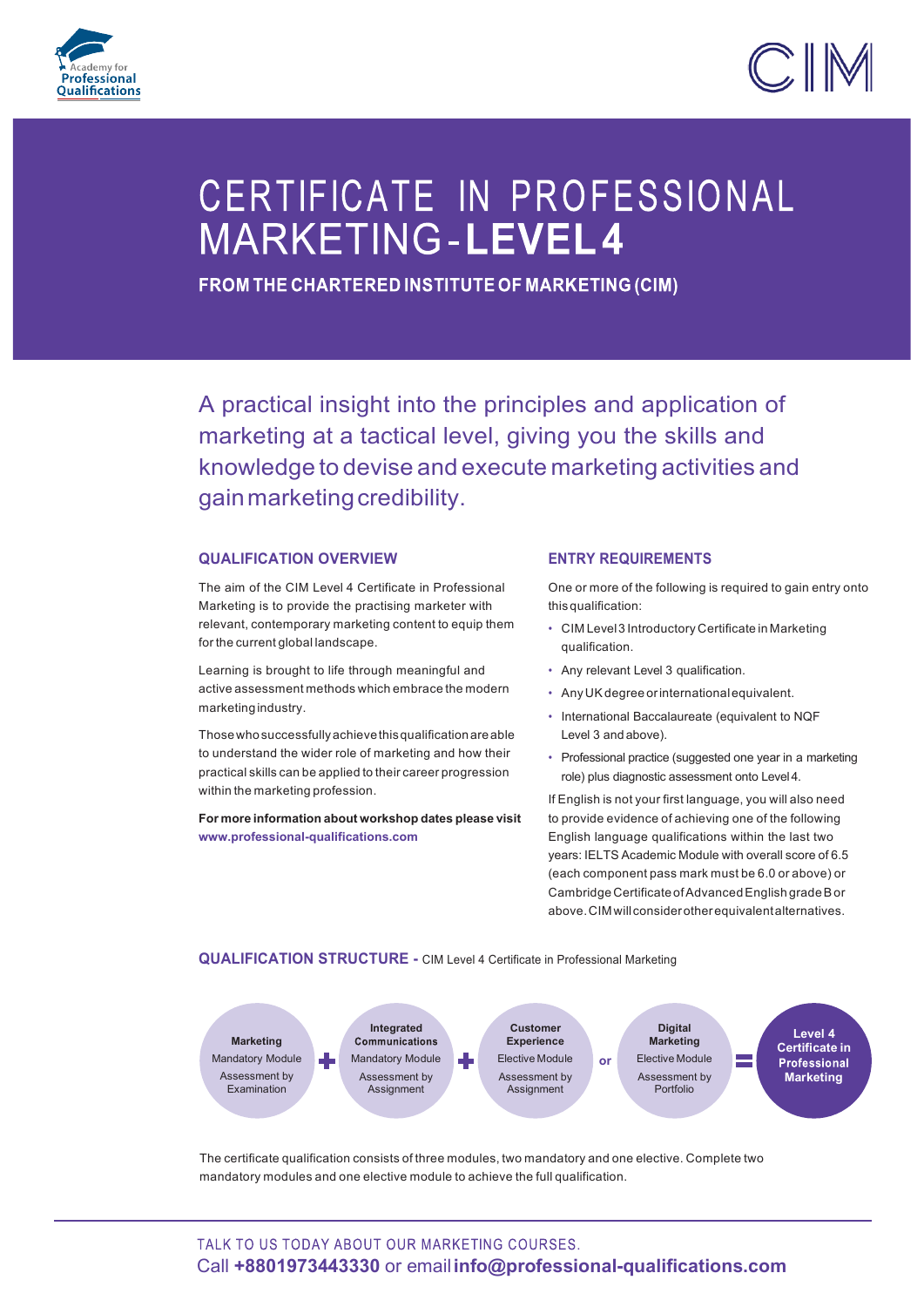



# CERTIFICATE IN PROFESSIONAL **MARKETING-LEVEL4**

FROM THE CHARTERED INSTITUTE OF MARKETING (CIM)

A practical insight into the principles and application of marketing at a tactical level, giving you the skills and knowledge to devise and execute marketing activities and gain marketing credibility.

### **QUALIFICATION OVERVIEW**

The aim of the CIM Level 4 Certificate in Professional Marketing is to provide the practising marketer with relevant, contemporary marketing content to equip them for the current global landscape.

Learning is brought to life through meaningful and active assessment methods which embrace the modern marketingindustry.

Thosewhosuccessfullyachievethisqualificationareable to understand the wider role of marketing and how their practical skills can be applied to their career progression within the marketing profession.

**For more information about workshop dates please visit www.professional-qualifications.com**

### **ENTRY REQUIREMENTS**

One or more of the following is required to gain entry onto this qualification:

- CIM Level3 Introductory Certificate in Marketing qualification.
- Any relevant Level 3 qualification.
- AnyUKdegree orinternationalequivalent.
- International Baccalaureate (equivalent to NQF Level 3 and above).
- Professional practice (suggested one year in a marketing role) plus diagnostic assessment onto Level4.

If English is not your first language, you will also need to provide evidence of achieving one of the following English language qualifications within the last two years: IELTS Academic Module with overall score of 6.5 (each component pass mark must be 6.0 or above) or Cambridge Certificate ofAdvancedEnglish gradeBor above.CIM willconsiderotherequivalentalternatives.

### **QUALIFICATION STRUCTURE -** CIM Level 4 Certificate in Professional Marketing



The certificate qualification consists of three modules, two mandatory and one elective. Complete two mandatory modules and one elective module to achieve the full qualification.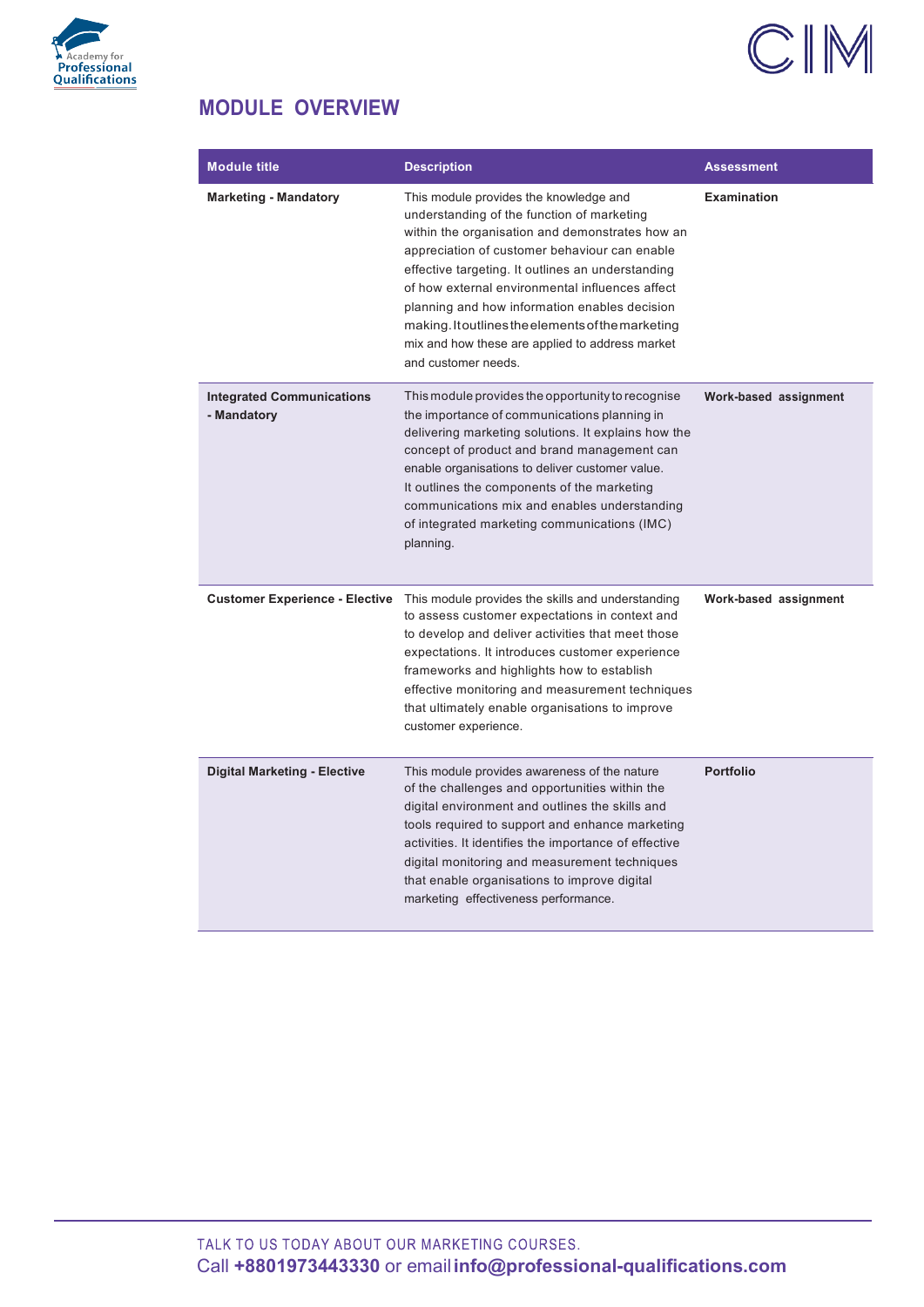

# $CIM$

# **MODULE OVERVIEW**

| <b>Module title</b>                             | <b>Description</b>                                                                                                                                                                                                                                                                                                                                                                                                                                                               | <b>Assessment</b>     |
|-------------------------------------------------|----------------------------------------------------------------------------------------------------------------------------------------------------------------------------------------------------------------------------------------------------------------------------------------------------------------------------------------------------------------------------------------------------------------------------------------------------------------------------------|-----------------------|
| <b>Marketing - Mandatory</b>                    | This module provides the knowledge and<br>understanding of the function of marketing<br>within the organisation and demonstrates how an<br>appreciation of customer behaviour can enable<br>effective targeting. It outlines an understanding<br>of how external environmental influences affect<br>planning and how information enables decision<br>making. It outlines the elements of the marketing<br>mix and how these are applied to address market<br>and customer needs. | <b>Examination</b>    |
| <b>Integrated Communications</b><br>- Mandatory | This module provides the opportunity to recognise<br>the importance of communications planning in<br>delivering marketing solutions. It explains how the<br>concept of product and brand management can<br>enable organisations to deliver customer value.<br>It outlines the components of the marketing<br>communications mix and enables understanding<br>of integrated marketing communications (IMC)<br>planning.                                                           | Work-based assignment |
| <b>Customer Experience - Elective</b>           | This module provides the skills and understanding<br>to assess customer expectations in context and<br>to develop and deliver activities that meet those<br>expectations. It introduces customer experience<br>frameworks and highlights how to establish<br>effective monitoring and measurement techniques<br>that ultimately enable organisations to improve<br>customer experience.                                                                                          | Work-based assignment |
| <b>Digital Marketing - Elective</b>             | This module provides awareness of the nature<br>of the challenges and opportunities within the<br>digital environment and outlines the skills and<br>tools required to support and enhance marketing<br>activities. It identifies the importance of effective<br>digital monitoring and measurement techniques<br>that enable organisations to improve digital<br>marketing effectiveness performance.                                                                           | <b>Portfolio</b>      |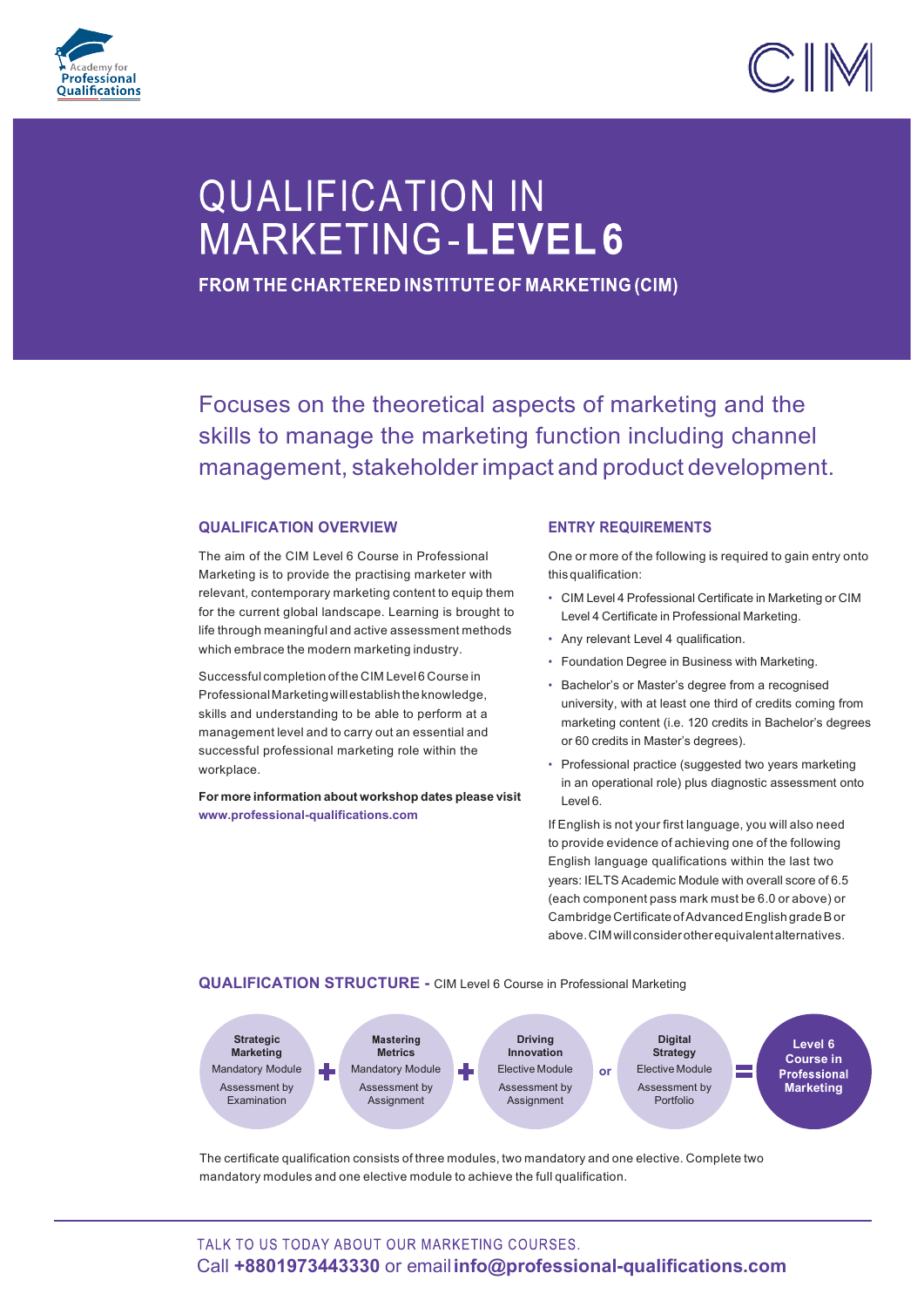



# **QUALIFICATION IN** MARKETING-LEVEL6

FROM THE CHARTERED INSTITUTE OF MARKETING (CIM)

Focuses on the theoretical aspects of marketing and the skills to manage the marketing function including channel management, stakeholderimpact and product development.

### **QUALIFICATION OVERVIEW**

The aim of the CIM Level 6 Course in Professional Marketing is to provide the practising marketer with relevant, contemporary marketing content to equip them for the current global landscape. Learning is brought to life through meaningful and active assessment methods which embrace the modern marketing industry.

Successful completion of the CIM Level6 Course in ProfessionalMarketingwillestablishtheknowledge, skills and understanding to be able to perform at a management level and to carry out an essential and successful professional marketing role within the workplace.

**For more information about workshop dates please visit www.professional-qualifications.com**

#### **ENTRY REQUIREMENTS**

One or more of the following is required to gain entry onto this qualification:

- CIM Level 4 Professional Certificate in Marketing or CIM Level 4 Certificate in Professional Marketing.
- Any relevant Level 4 qualification.
- Foundation Degree in Business with Marketing.
- Bachelor's or Master's degree from a recognised university, with at least one third of credits coming from marketing content (i.e. 120 credits in Bachelor's degrees or 60 credits in Master's degrees).
- Professional practice (suggested two years marketing in an operational role) plus diagnostic assessment onto Level 6

If English is not your first language, you will also need to provide evidence of achieving one of the following English language qualifications within the last two years: IELTS Academic Module with overall score of 6.5 (each component pass mark must be 6.0 or above) or Cambridge Certificate ofAdvancedEnglish gradeBor above.CIM willconsiderotherequivalentalternatives.

**QUALIFICATION STRUCTURE -** CIM Level 6 Course in Professional Marketing



The certificate qualification consists of three modules, two mandatory and one elective. Complete two mandatory modules and one elective module to achieve the full qualification.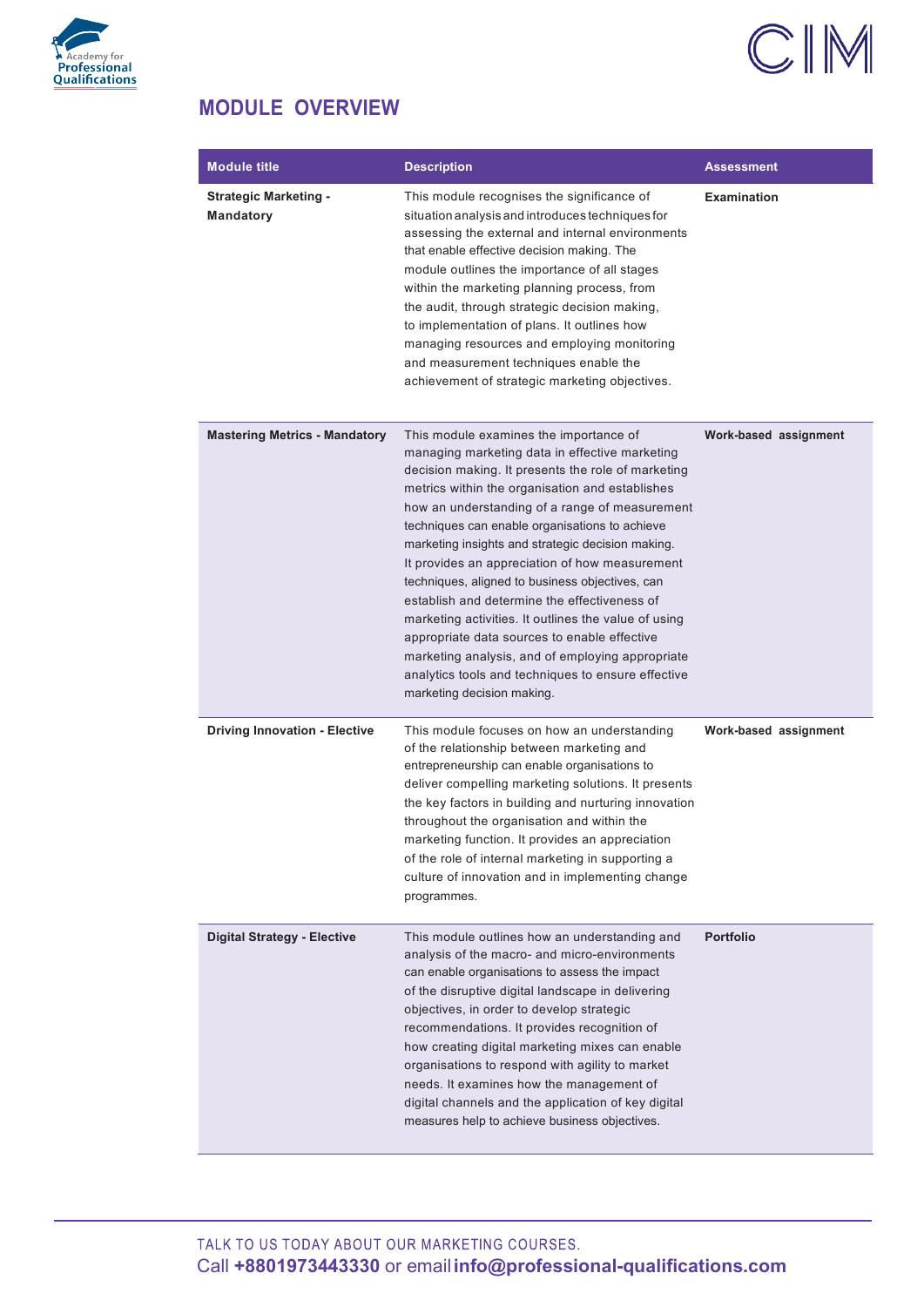

# $CIM$

# **MODULE OVERVIEW**

| <b>Module title</b>                              | <b>Description</b>                                                                                                                                                                                                                                                                                                                                                                                                                                                                                                                                                                                                                                                                                                                                              | <b>Assessment</b>     |
|--------------------------------------------------|-----------------------------------------------------------------------------------------------------------------------------------------------------------------------------------------------------------------------------------------------------------------------------------------------------------------------------------------------------------------------------------------------------------------------------------------------------------------------------------------------------------------------------------------------------------------------------------------------------------------------------------------------------------------------------------------------------------------------------------------------------------------|-----------------------|
| <b>Strategic Marketing -</b><br><b>Mandatory</b> | This module recognises the significance of<br>situation analysis and introduces techniques for<br>assessing the external and internal environments<br>that enable effective decision making. The<br>module outlines the importance of all stages<br>within the marketing planning process, from<br>the audit, through strategic decision making,<br>to implementation of plans. It outlines how<br>managing resources and employing monitoring<br>and measurement techniques enable the<br>achievement of strategic marketing objectives.                                                                                                                                                                                                                       | <b>Examination</b>    |
| <b>Mastering Metrics - Mandatory</b>             | This module examines the importance of<br>managing marketing data in effective marketing<br>decision making. It presents the role of marketing<br>metrics within the organisation and establishes<br>how an understanding of a range of measurement<br>techniques can enable organisations to achieve<br>marketing insights and strategic decision making.<br>It provides an appreciation of how measurement<br>techniques, aligned to business objectives, can<br>establish and determine the effectiveness of<br>marketing activities. It outlines the value of using<br>appropriate data sources to enable effective<br>marketing analysis, and of employing appropriate<br>analytics tools and techniques to ensure effective<br>marketing decision making. | Work-based assignment |
| <b>Driving Innovation - Elective</b>             | This module focuses on how an understanding<br>of the relationship between marketing and<br>entrepreneurship can enable organisations to<br>deliver compelling marketing solutions. It presents<br>the key factors in building and nurturing innovation<br>throughout the organisation and within the<br>marketing function. It provides an appreciation<br>of the role of internal marketing in supporting a<br>culture of innovation and in implementing change<br>programmes.                                                                                                                                                                                                                                                                                | Work-based assignment |
| <b>Digital Strategy - Elective</b>               | This module outlines how an understanding and<br>analysis of the macro- and micro-environments<br>can enable organisations to assess the impact<br>of the disruptive digital landscape in delivering<br>objectives, in order to develop strategic<br>recommendations. It provides recognition of<br>how creating digital marketing mixes can enable<br>organisations to respond with agility to market<br>needs. It examines how the management of<br>digital channels and the application of key digital<br>measures help to achieve business objectives.                                                                                                                                                                                                      | <b>Portfolio</b>      |